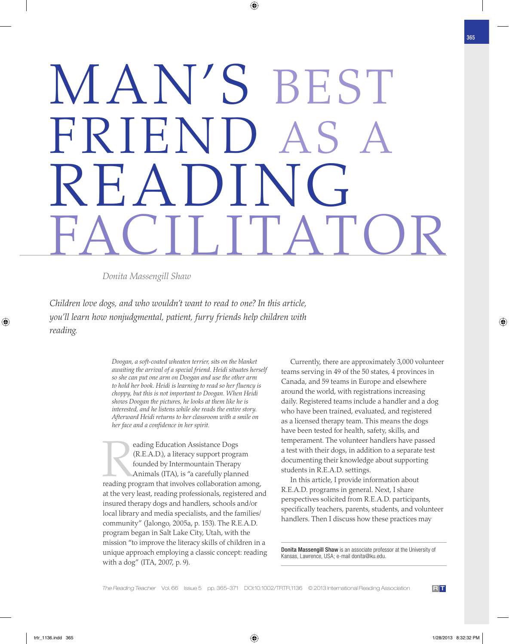# MAN'S BEST FRIEND READING FACILITATOR

*Donita Massengill Shaw*

*Children love dogs, and who wouldn't want to read to one? In this article, you'll learn how nonjudgmental, patient, furry friends help children with reading.*

> *Doogan, a soft-coated wheaten terrier, sits on the blanket awaiting the arrival of a special friend. Heidi situates herself so she can put one arm on Doogan and use the other arm to hold her book. Heidi is learning to read so her fluency is choppy, but this is not important to Doogan. When Heidi shows Doogan the pictures, he looks at them like he is interested, and he listens while she reads the entire story. Afterward Heidi returns to her classroom with a smile on her face and a confidence in her spirit.*

reading Education Assistance Dogs (R.E.A.D.), a literacy support program founded by Intermountain Therapy Animals (ITA), is "a carefully planned reading program that involves collaboration among, (R.E.A.D.), a literacy support program founded by Intermountain Therapy Animals (ITA), is "a carefully planned at the very least, reading professionals, registered and insured therapy dogs and handlers, schools and/or local library and media specialists, and the families/ community" (Jalongo, 2005a, p. 153). The R.E.A.D. program began in Salt Lake City, Utah, with the mission "to improve the literacy skills of children in a unique approach employing a classic concept: reading with a dog" (ITA, 2007, p. 9).

Currently, there are approximately 3,000 volunteer teams serving in 49 of the 50 states, 4 provinces in Canada, and 59 teams in Europe and elsewhere around the world, with registrations increasing daily. Registered teams include a handler and a dog who have been trained, evaluated, and registered as a licensed therapy team. This means the dogs have been tested for health, safety, skills, and temperament. The volunteer handlers have passed a test with their dogs, in addition to a separate test documenting their knowledge about supporting students in R.E.A.D. settings.

In this article, I provide information about R.E.A.D. programs in general. Next, I share perspectives solicited from R.E.A.D. participants, specifically teachers, parents, students, and volunteer handlers. Then I discuss how these practices may

Donita Massengill Shaw is an associate professor at the University of Kansas, Lawrence, USA; e-mail donita@ku.edu.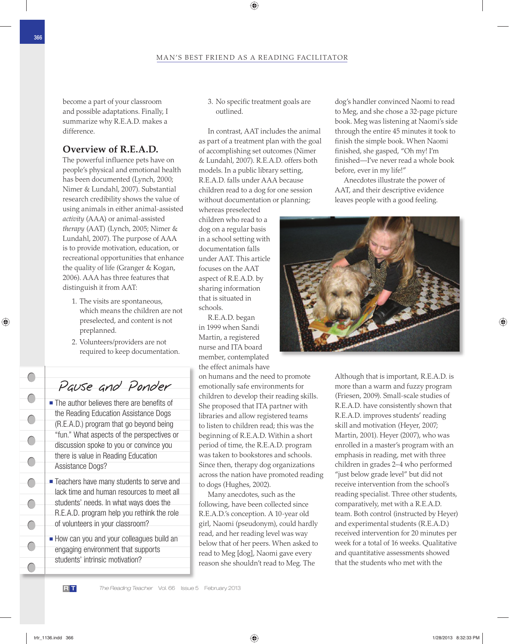become a part of your classroom and possible adaptations. Finally, I summarize why R.E.A.D. makes a difference.

# **Overview of R.E.A.D.**

The powerful influence pets have on people's physical and emotional health has been documented (Lynch, 2000; Nimer & Lundahl, 2007). Substantial research credibility shows the value of using animals in either animal-assisted *activity* (AAA) or animal-assisted *therapy* (AAT) (Lynch, 2005; Nimer & Lundahl, 2007). The purpose of AAA is to provide motivation, education, or recreational opportunities that enhance the quality of life (Granger & Kogan, 2006). AAA has three features that distinguish it from AAT:

- 1. The visits are spontaneous, which means the children are not preselected, and content is not preplanned.
- 2. Volunteers/providers are not required to keep documentation.

Pause and Ponder

- The author believes there are benefits of the Reading Education Assistance Dogs (R.E.A.D.) program that go beyond being "fun." What aspects of the perspectives or discussion spoke to you or convince you there is value in Reading Education Assistance Dogs?
- Teachers have many students to serve and lack time and human resources to meet all students' needs. In what ways does the R.E.A.D. program help you rethink the role of volunteers in your classroom?
- How can you and your colleagues build an engaging environment that supports students' intrinsic motivation?

3. No specific treatment goals are outlined.

In contrast, AAT includes the animal as part of a treatment plan with the goal of accomplishing set outcomes (Nimer & Lundahl, 2007). R.E.A.D. offers both models. In a public library setting, R.E.A.D. falls under AAA because children read to a dog for one session without documentation or planning;

whereas preselected children who read to a dog on a regular basis in a school setting with documentation falls under AAT. This article focuses on the AAT aspect of R.E.A.D. by sharing information that is situated in schools.

R.E.A.D. began in 1999 when Sandi Martin, a registered nurse and ITA board member, contemplated the effect animals have

on humans and the need to promote emotionally safe environments for children to develop their reading skills. She proposed that ITA partner with libraries and allow registered teams to listen to children read; this was the beginning of R.E.A.D. Within a short period of time, the R.E.A.D. program was taken to bookstores and schools. Since then, therapy dog organizations across the nation have promoted reading to dogs (Hughes, 2002).

Many anecdotes, such as the following, have been collected since R.E.A.D.'s conception. A 10-year old girl, Naomi (pseudonym), could hardly read, and her reading level was way below that of her peers. When asked to read to Meg [dog], Naomi gave every reason she shouldn't read to Meg. The

dog's handler convinced Naomi to read to Meg, and she chose a 32-page picture book. Meg was listening at Naomi's side through the entire 45 minutes it took to finish the simple book. When Naomi finished, she gasped, "Oh my! I'm finished—I've never read a whole book before, ever in my life!"

Anecdotes illustrate the power of AAT, and their descriptive evidence leaves people with a good feeling.



Although that is important, R.E.A.D. is more than a warm and fuzzy program (Friesen, 2009). Small-scale studies of R.E.A.D. have consistently shown that R.E.A.D. improves students' reading skill and motivation (Heyer, 2007; Martin, 2001). Heyer (2007), who was enrolled in a master's program with an emphasis in reading, met with three children in grades 2–4 who performed "just below grade level" but did not receive intervention from the school's reading specialist. Three other students, comparatively, met with a R.E.A.D. team. Both control (instructed by Heyer) and experimental students (R.E.A.D.) received intervention for 20 minutes per week for a total of 16 weeks. Qualitative and quantitative assessments showed that the students who met with the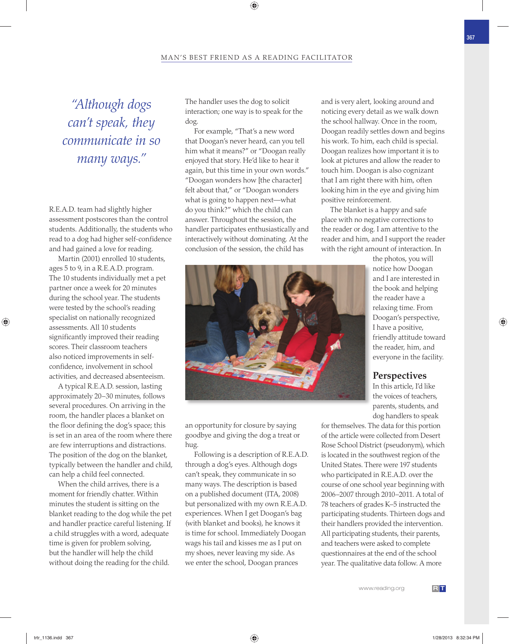*"Although dogs can't speak, they communicate in so many ways."*

R.E.A.D. team had slightly higher assessment postscores than the control students. Additionally, the students who read to a dog had higher self-confidence and had gained a love for reading.

Martin (2001) enrolled 10 students, ages 5 to 9, in a R.E.A.D. program. The 10 students individually met a pet partner once a week for 20 minutes during the school year. The students were tested by the school's reading specialist on nationally recognized assessments. All 10 students significantly improved their reading scores. Their classroom teachers also noticed improvements in selfconfidence, involvement in school activities, and decreased absenteeism.

A typical R.E.A.D. session, lasting approximately 20–30 minutes, follows several procedures. On arriving in the room, the handler places a blanket on the floor defining the dog's space; this is set in an area of the room where there are few interruptions and distractions. The position of the dog on the blanket, typically between the handler and child, can help a child feel connected.

When the child arrives, there is a moment for friendly chatter. Within minutes the student is sitting on the blanket reading to the dog while the pet and handler practice careful listening. If a child struggles with a word, adequate time is given for problem solving, but the handler will help the child without doing the reading for the child.

The handler uses the dog to solicit interaction; one way is to speak for the dog.

For example, "That's a new word that Doogan's never heard, can you tell him what it means?" or "Doogan really enjoyed that story. He'd like to hear it again, but this time in your own words." "Doogan wonders how [the character] felt about that," or "Doogan wonders what is going to happen next—what do you think?" which the child can answer. Throughout the session, the handler participates enthusiastically and interactively without dominating. At the conclusion of the session, the child has

and is very alert, looking around and noticing every detail as we walk down the school hallway. Once in the room, Doogan readily settles down and begins his work. To him, each child is special. Doogan realizes how important it is to look at pictures and allow the reader to touch him. Doogan is also cognizant that I am right there with him, often looking him in the eye and giving him positive reinforcement.

The blanket is a happy and safe place with no negative corrections to the reader or dog. I am attentive to the reader and him, and I support the reader with the right amount of interaction. In



an opportunity for closure by saying goodbye and giving the dog a treat or hug.

Following is a description of R.E.A.D. through a dog's eyes. Although dogs can't speak, they communicate in so many ways. The description is based on a published document (ITA, 2008) but personalized with my own R.E.A.D. experiences. When I get Doogan's bag (with blanket and books), he knows it is time for school. Immediately Doogan wags his tail and kisses me as I put on my shoes, never leaving my side. As we enter the school, Doogan prances

the photos, you will notice how Doogan and I are interested in the book and helping the reader have a relaxing time. From Doogan's perspective, I have a positive, friendly attitude toward the reader, him, and everyone in the facility.

# **Perspectives**

In this article, I'd like the voices of teachers, parents, students, and dog handlers to speak

for themselves. The data for this portion of the article were collected from Desert Rose School District (pseudonym), which is located in the southwest region of the United States. There were 197 students who participated in R.E.A.D. over the course of one school year beginning with 2006–2007 through 2010–2011. A total of 78 teachers of grades K–5 instructed the participating students. Thirteen dogs and their handlers provided the intervention. All participating students, their parents, and teachers were asked to complete questionnaires at the end of the school year. The qualitative data follow. A more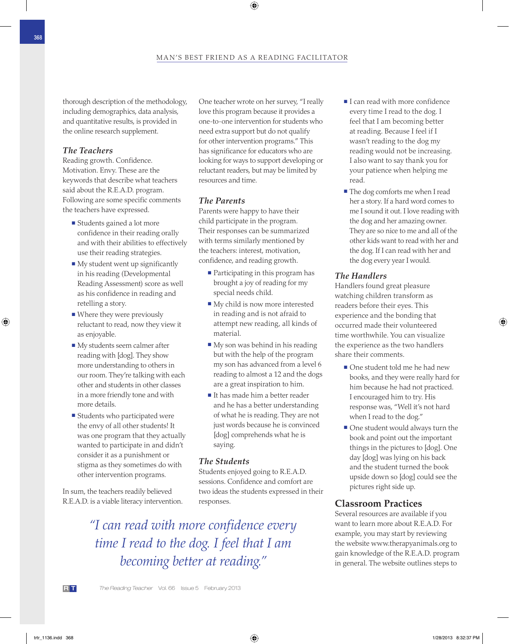thorough description of the methodology, including demographics, data analysis, and quantitative results, is provided in the online research supplement.

## *The Teachers*

Reading growth. Confidence. Motivation. Envy. These are the keywords that describe what teachers said about the R.E.A.D. program. Following are some specific comments the teachers have expressed.

- Students gained a lot more confidence in their reading orally and with their abilities to effectively use their reading strategies.
- My student went up significantly in his reading (Developmental Reading Assessment) score as well as his confidence in reading and retelling a story.
- Where they were previously reluctant to read, now they view it as enjoyable.
- My students seem calmer after reading with [dog]. They show more understanding to others in our room. They're talking with each other and students in other classes in a more friendly tone and with more details.
- Students who participated were the envy of all other students! It was one program that they actually wanted to participate in and didn't consider it as a punishment or stigma as they sometimes do with other intervention programs.

In sum, the teachers readily believed R.E.A.D. is a viable literacy intervention. One teacher wrote on her survey, "I really love this program because it provides a one-to-one intervention for students who need extra support but do not qualify for other intervention programs." This has significance for educators who are looking for ways to support developing or reluctant readers, but may be limited by resources and time.

# *The Parents*

Parents were happy to have their child participate in the program. Their responses can be summarized with terms similarly mentioned by the teachers: interest, motivation, confidence, and reading growth.

- Participating in this program has brought a joy of reading for my special needs child.
- My child is now more interested in reading and is not afraid to attempt new reading, all kinds of material.
- My son was behind in his reading but with the help of the program my son has advanced from a level 6 reading to almost a 12 and the dogs are a great inspiration to him.
- It has made him a better reader and he has a better understanding of what he is reading. They are not just words because he is convinced [dog] comprehends what he is saying.

### *The Students*

Students enjoyed going to R.E.A.D. sessions. Confidence and comfort are two ideas the students expressed in their responses.

*"I can read with more confidence every time I read to the dog. I feel that I am becoming better at reading."*

- I can read with more confidence every time I read to the dog. I feel that I am becoming better at reading. Because I feel if I wasn't reading to the dog my reading would not be increasing. I also want to say thank you for your patience when helping me read.
- The dog comforts me when I read her a story. If a hard word comes to me I sound it out. I love reading with the dog and her amazing owner. They are so nice to me and all of the other kids want to read with her and the dog. If I can read with her and the dog every year I would.

# *The Handlers*

Handlers found great pleasure watching children transform as readers before their eyes. This experience and the bonding that occurred made their volunteered time worthwhile. You can visualize the experience as the two handlers share their comments.

- One student told me he had new books, and they were really hard for him because he had not practiced. I encouraged him to try. His response was, "Well it's not hard when I read to the dog."
- One student would always turn the book and point out the important things in the pictures to [dog]. One day [dog] was lying on his back and the student turned the book upside down so [dog] could see the pictures right side up.

# **Classroom Practices**

Several resources are available if you want to learn more about R.E.A.D. For example, you may start by reviewing the website www.therapyanimals.org to gain knowledge of the R.E.A.D. program in general. The website outlines steps to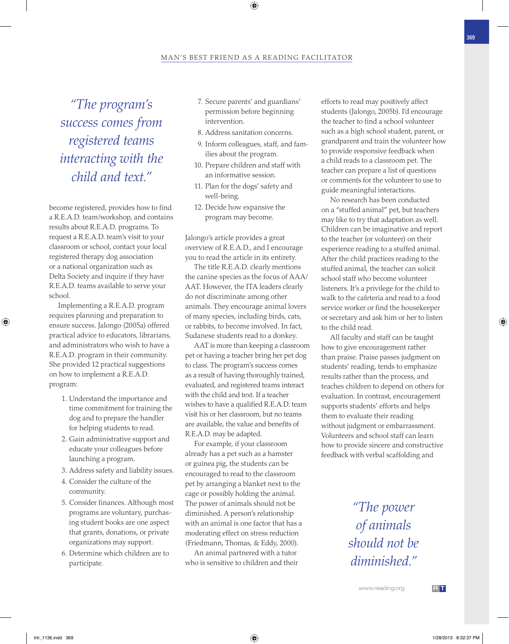*"The program's success comes from registered teams interacting with the child and text."*

become registered, provides how to find a R.E.A.D. team/workshop, and contains results about R.E.A.D. programs. To request a R.E.A.D. team's visit to your classroom or school, contact your local registered therapy dog association or a national organization such as Delta Society and inquire if they have R.E.A.D. teams available to serve your school.

Implementing a R.E.A.D. program requires planning and preparation to ensure success. Jalongo (2005a) offered practical advice to educators, librarians, and administrators who wish to have a R.E.A.D. program in their community. She provided 12 practical suggestions on how to implement a R.E.A.D. program:

- 1. Understand the importance and time commitment for training the dog and to prepare the handler for helping students to read.
- 2. Gain administrative support and educate your colleagues before launching a program.
- 3. Address safety and liability issues.
- 4. Consider the culture of the community.
- 5. Consider finances. Although most programs are voluntary, purchasing student books are one aspect that grants, donations, or private organizations may support.
- 6. Determine which children are to participate.
- 7. Secure parents' and guardians' permission before beginning intervention.
- 8. Address sanitation concerns.
- 9. Inform colleagues, staff, and families about the program.
- 10. Prepare children and staff with an informative session.
- 11. Plan for the dogs' safety and well-being.
- 12. Decide how expansive the program may become.

Jalongo's article provides a great overview of R.E.A.D., and I encourage you to read the article in its entirety.

The title R.E.A.D. clearly mentions the canine species as the focus of AAA/ AAT. However, the ITA leaders clearly do not discriminate among other animals. They encourage animal lovers of many species, including birds, cats, or rabbits, to become involved. In fact, Sudanese students read to a donkey.

AAT is more than keeping a classroom pet or having a teacher bring her pet dog to class. The program's success comes as a result of having thoroughly trained, evaluated, and registered teams interact with the child and text. If a teacher wishes to have a qualified R.E.A.D. team visit his or her classroom, but no teams are available, the value and benefits of R.E.A.D. may be adapted.

For example, if your classroom already has a pet such as a hamster or guinea pig, the students can be encouraged to read to the classroom pet by arranging a blanket next to the cage or possibly holding the animal. The power of animals should not be diminished. A person's relationship with an animal is one factor that has a moderating effect on stress reduction (Friedmann, Thomas, & Eddy, 2000).

An animal partnered with a tutor who is sensitive to children and their efforts to read may positively affect students (Jalongo, 2005b). I'd encourage the teacher to find a school volunteer such as a high school student, parent, or grandparent and train the volunteer how to provide responsive feedback when a child reads to a classroom pet. The teacher can prepare a list of questions or comments for the volunteer to use to guide meaningful interactions.

No research has been conducted on a "stuffed animal" pet, but teachers may like to try that adaptation as well. Children can be imaginative and report to the teacher (or volunteer) on their experience reading to a stuffed animal. After the child practices reading to the stuffed animal, the teacher can solicit school staff who become volunteer listeners. It's a privilege for the child to walk to the cafeteria and read to a food service worker or find the housekeeper or secretary and ask him or her to listen to the child read.

All faculty and staff can be taught how to give encouragement rather than praise. Praise passes judgment on students' reading, tends to emphasize results rather than the process, and teaches children to depend on others for evaluation. In contrast, encouragement supports students' efforts and helps them to evaluate their reading without judgment or embarrassment. Volunteers and school staff can learn how to provide sincere and constructive feedback with verbal scaffolding and

> *"The power of animals should not be diminished."*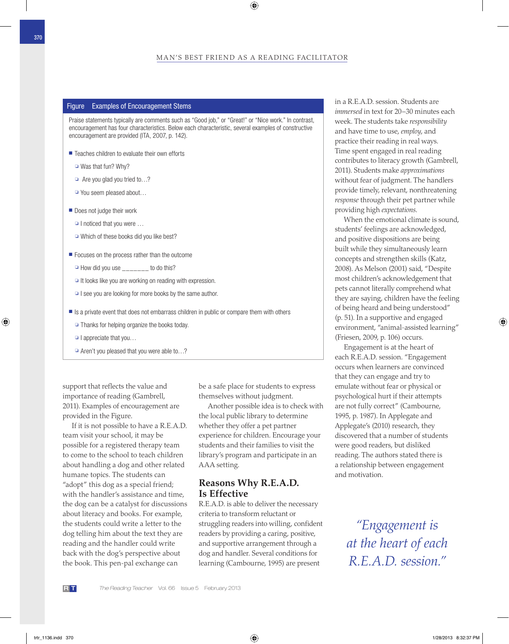#### Figure Examples of Encouragement Stems

Praise statements typically are comments such as "Good job," or "Great!" or "Nice work." In contrast, encouragement has four characteristics. Below each characteristic, several examples of constructive encouragement are provided (ITA, 2007, p. 142).

- Teaches children to evaluate their own efforts
	- ❏ Was that fun? Why?
	- ❏ Are you glad you tried to…?
	- ❏ You seem pleased about…
- Does not judge their work
	- ❏ I noticed that you were …
	- ❏ Which of these books did you like best?
- Focuses on the process rather than the outcome
	- ❏ How did you use \_\_\_\_\_\_\_ to do this?
	- ❏ It looks like you are working on reading with expression.
	- ❏ I see you are looking for more books by the same author.
- Is a private event that does not embarrass children in public or compare them with others
	- ❏ Thanks for helping organize the books today.
	- ❏ I appreciate that you…
	- ❏ Aren't you pleased that you were able to…?

support that reflects the value and importance of reading (Gambrell, 2011). Examples of encouragement are provided in the Figure.

If it is not possible to have a R.E.A.D. team visit your school, it may be possible for a registered therapy team to come to the school to teach children about handling a dog and other related humane topics. The students can "adopt" this dog as a special friend; with the handler's assistance and time, the dog can be a catalyst for discussions about literacy and books. For example, the students could write a letter to the dog telling him about the text they are reading and the handler could write back with the dog's perspective about the book. This pen-pal exchange can

be a safe place for students to express themselves without judgment.

Another possible idea is to check with the local public library to determine whether they offer a pet partner experience for children. Encourage your students and their families to visit the library's program and participate in an AAA setting.

# **Reasons Why R.E.A.D. Is Effective**

R.E.A.D. is able to deliver the necessary criteria to transform reluctant or struggling readers into willing, confident readers by providing a caring, positive, and supportive arrangement through a dog and handler. Several conditions for learning (Cambourne, 1995) are present

in a R.E.A.D. session. Students are *immersed* in text for 20–30 minutes each week. The students take *responsibility* and have time to use, *employ*, and practice their reading in real ways. Time spent engaged in real reading contributes to literacy growth (Gambrell, 2011). Students make *approximations* without fear of judgment. The handlers provide timely, relevant, nonthreatening *response* through their pet partner while providing high *expectations*.

When the emotional climate is sound, students' feelings are acknowledged, and positive dispositions are being built while they simultaneously learn concepts and strengthen skills (Katz, 2008). As Melson (2001) said, "Despite most children's acknowledgement that pets cannot literally comprehend what they are saying, children have the feeling of being heard and being understood" (p. 51). In a supportive and engaged environment, "animal-assisted learning" (Friesen, 2009, p. 106) occurs.

Engagement is at the heart of each R.E.A.D. session. "Engagement occurs when learners are convinced that they can engage and try to emulate without fear or physical or psychological hurt if their attempts are not fully correct" (Cambourne, 1995, p. 1987). In Applegate and Applegate's (2010) research, they discovered that a number of students were good readers, but disliked reading. The authors stated there is a relationship between engagement and motivation.

*"Engagement is at the heart of each R.E.A.D. session."*